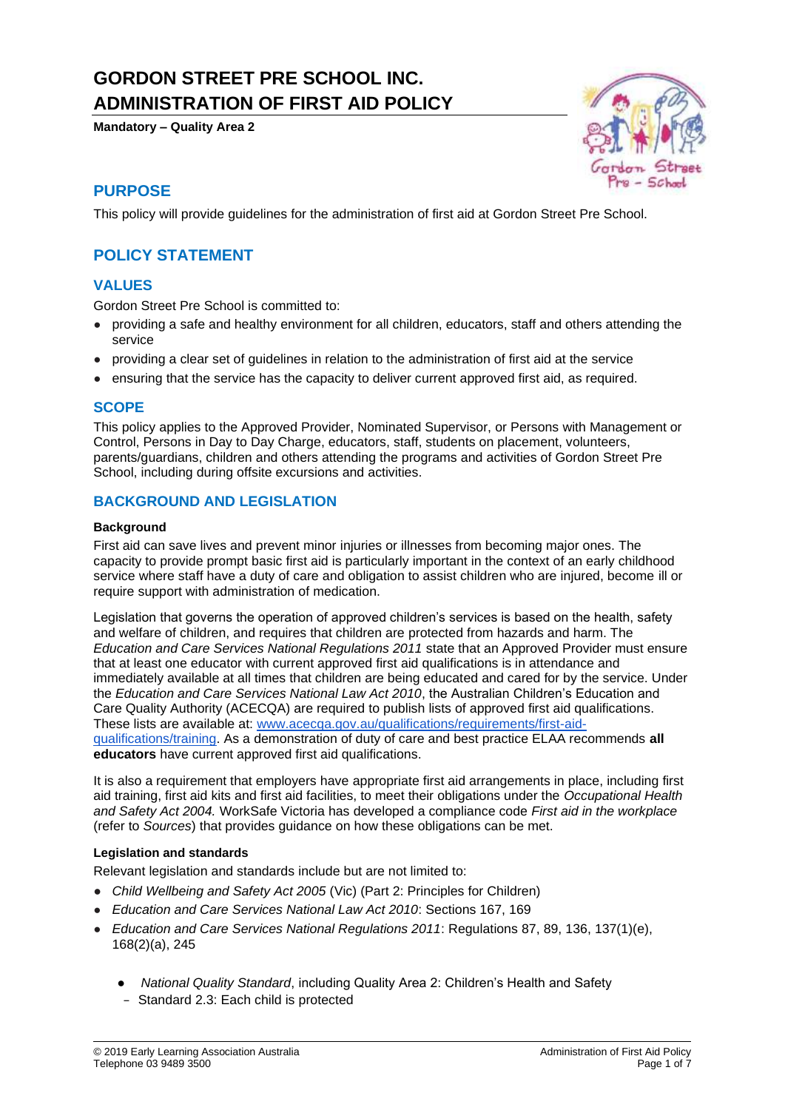# **GORDON STREET PRE SCHOOL INC. ADMINISTRATION OF FIRST AID POLICY**

**Mandatory – Quality Area 2**



# **PURPOSE**

This policy will provide guidelines for the administration of first aid at Gordon Street Pre School.

# **POLICY STATEMENT**

# **VALUES**

Gordon Street Pre School is committed to:

- providing a safe and healthy environment for all children, educators, staff and others attending the service
- providing a clear set of guidelines in relation to the administration of first aid at the service
- ensuring that the service has the capacity to deliver current approved first aid, as required.

#### **SCOPE**

This policy applies to the Approved Provider, Nominated Supervisor, or Persons with Management or Control, Persons in Day to Day Charge, educators, staff, students on placement, volunteers, parents/guardians, children and others attending the programs and activities of Gordon Street Pre School, including during offsite excursions and activities.

### **BACKGROUND AND LEGISLATION**

#### **Background**

First aid can save lives and prevent minor injuries or illnesses from becoming major ones. The capacity to provide prompt basic first aid is particularly important in the context of an early childhood service where staff have a duty of care and obligation to assist children who are injured, become ill or require support with administration of medication.

Legislation that governs the operation of approved children's services is based on the health, safety and welfare of children, and requires that children are protected from hazards and harm. The *Education and Care Services National Regulations 2011* state that an Approved Provider must ensure that at least one educator with current approved first aid qualifications is in attendance and immediately available at all times that children are being educated and cared for by the service. Under the *Education and Care Services National Law Act 2010*, the Australian Children's Education and Care Quality Authority (ACECQA) are required to publish lists of approved first aid qualifications. These lists are available at: [www.acecqa.gov.au/qualifications/requirements/first-aid](http://www.acecqa.gov.au/qualifications/requirements/first-aid-qualifications/training)[qualifications/training.](http://www.acecqa.gov.au/qualifications/requirements/first-aid-qualifications/training) As a demonstration of duty of care and best practice ELAA recommends **all educators** have current approved first aid qualifications.

It is also a requirement that employers have appropriate first aid arrangements in place, including first aid training, first aid kits and first aid facilities, to meet their obligations under the *Occupational Health and Safety Act 2004.* WorkSafe Victoria has developed a compliance code *First aid in the workplace*  (refer to *Sources*) that provides guidance on how these obligations can be met.

#### **Legislation and standards**

Relevant legislation and standards include but are not limited to:

- *Child Wellbeing and Safety Act 2005* (Vic) (Part 2: Principles for Children)
- *Education and Care Services National Law Act 2010*: Sections 167, 169
- *Education and Care Services National Regulations 2011*: Regulations 87, 89, 136, 137(1)(e), 168(2)(a), 245
	- *National Quality Standard*, including Quality Area 2: Children's Health and Safety
	- − Standard 2.3: Each child is protected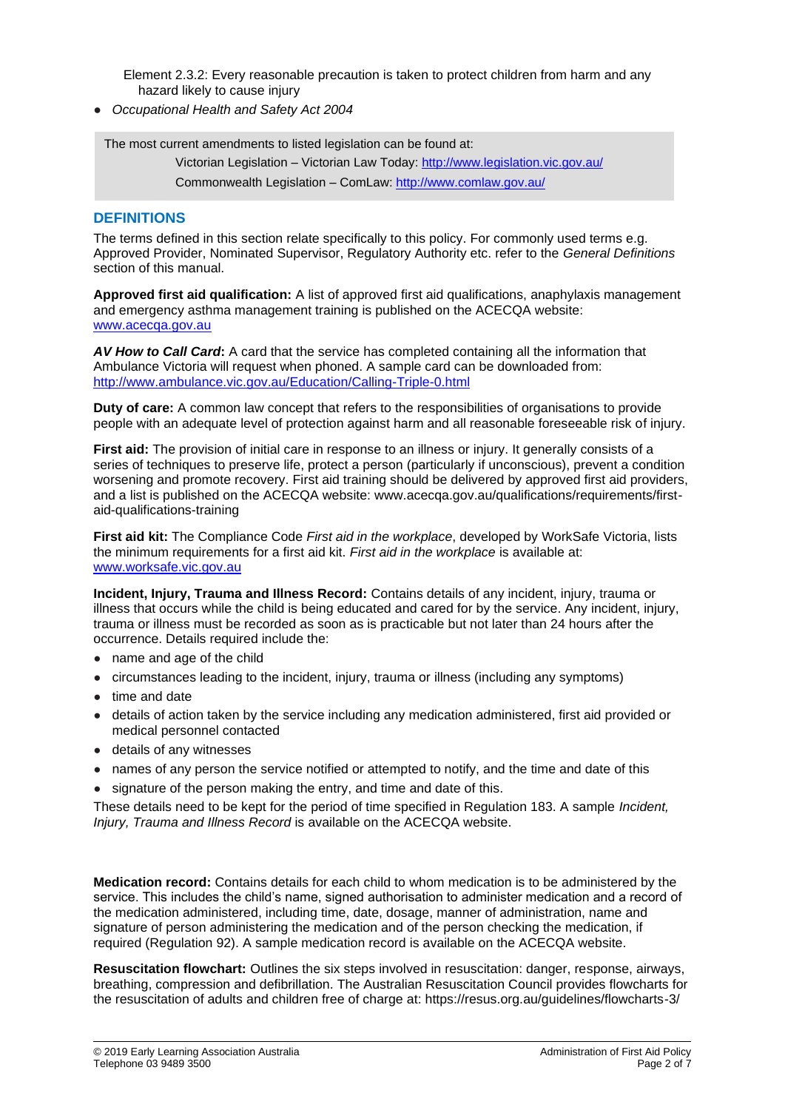Element 2.3.2: Every reasonable precaution is taken to protect children from harm and any hazard likely to cause injury

● *Occupational Health and Safety Act 2004*

The most current amendments to listed legislation can be found at:

Victorian Legislation – Victorian Law Today: http://www.legislation.vic.gov.au/ Commonwealth Legislation – ComLaw: http://www.comlaw.gov.au/

### **DEFINITIONS**

The terms defined in this section relate specifically to this policy. For commonly used terms e.g. Approved Provider, Nominated Supervisor, Regulatory Authority etc. refer to the *General Definitions* section of this manual.

**Approved first aid qualification:** A list of approved first aid qualifications, anaphylaxis management and emergency asthma management training is published on the ACECQA website: [www.acecqa.gov.au](http://www.acecqa.gov.au/)

*AV How to Call Card***:** A card that the service has completed containing all the information that Ambulance Victoria will request when phoned. A sample card can be downloaded from: <http://www.ambulance.vic.gov.au/Education/Calling-Triple-0.html>

**Duty of care:** A common law concept that refers to the responsibilities of organisations to provide people with an adequate level of protection against harm and all reasonable foreseeable risk of injury.

**First aid:** The provision of initial care in response to an illness or injury. It generally consists of a series of techniques to preserve life, protect a person (particularly if unconscious), prevent a condition worsening and promote recovery. First aid training should be delivered by approved first aid providers, and a list is published on the ACECQA website: www.acecqa.gov.au/qualifications/requirements/firstaid-qualifications-training

**First aid kit:** The Compliance Code *First aid in the workplace*, developed by WorkSafe Victoria, lists the minimum requirements for a first aid kit. *First aid in the workplace* is available at: [www.worksafe.vic.gov.au](http://www.worksafe.vic.gov.au/)

**Incident, Injury, Trauma and Illness Record:** Contains details of any incident, injury, trauma or illness that occurs while the child is being educated and cared for by the service. Any incident, injury, trauma or illness must be recorded as soon as is practicable but not later than 24 hours after the occurrence. Details required include the:

- name and age of the child
- circumstances leading to the incident, injury, trauma or illness (including any symptoms)
- time and date
- details of action taken by the service including any medication administered, first aid provided or medical personnel contacted
- details of any witnesses
- names of any person the service notified or attempted to notify, and the time and date of this
- signature of the person making the entry, and time and date of this.

These details need to be kept for the period of time specified in Regulation 183. A sample *Incident, Injury, Trauma and Illness Record* is available on the ACECQA website.

**Medication record:** Contains details for each child to whom medication is to be administered by the service. This includes the child's name, signed authorisation to administer medication and a record of the medication administered, including time, date, dosage, manner of administration, name and signature of person administering the medication and of the person checking the medication, if required (Regulation 92). A sample medication record is available on the ACECQA website.

**Resuscitation flowchart:** Outlines the six steps involved in resuscitation: danger, response, airways, breathing, compression and defibrillation. The Australian Resuscitation Council provides flowcharts for the resuscitation of adults and children free of charge at: https://resus.org.au/guidelines/flowcharts-3/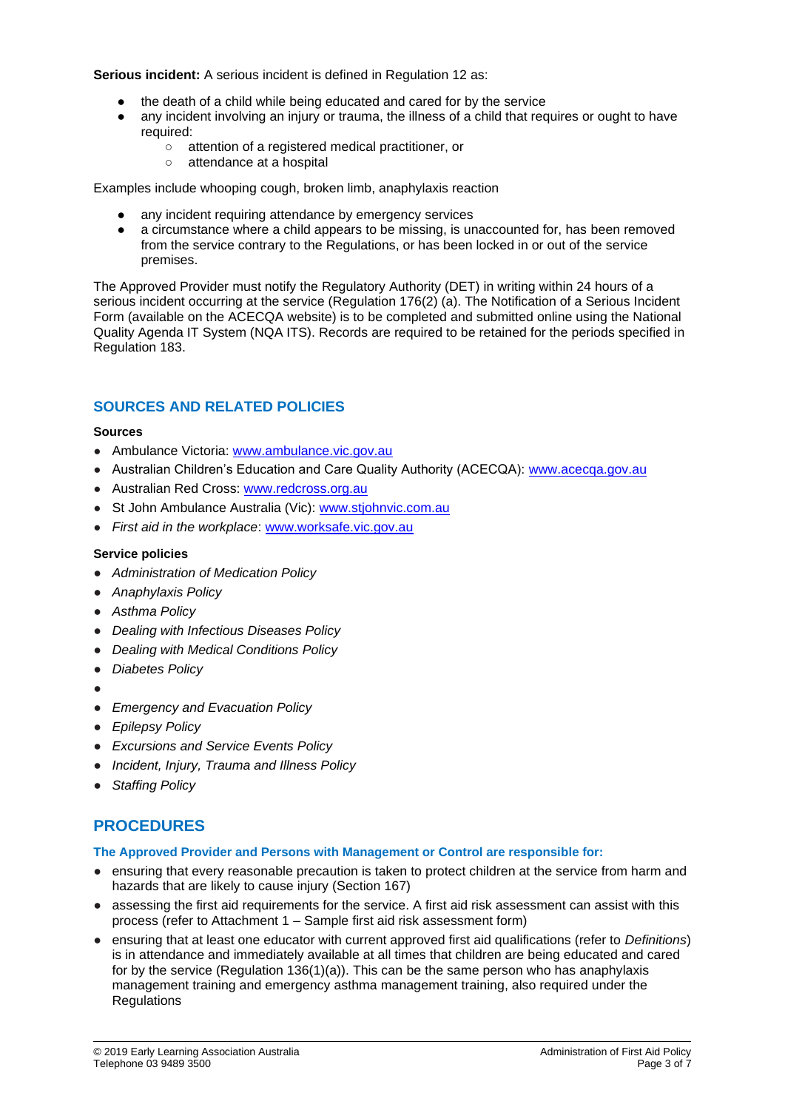**Serious incident:** A serious incident is defined in Regulation 12 as:

- the death of a child while being educated and cared for by the service
- any incident involving an injury or trauma, the illness of a child that requires or ought to have required:
	- attention of a registered medical practitioner, or
	- attendance at a hospital

Examples include whooping cough, broken limb, anaphylaxis reaction

- any incident requiring attendance by emergency services
- a circumstance where a child appears to be missing, is unaccounted for, has been removed from the service contrary to the Regulations, or has been locked in or out of the service premises.

The Approved Provider must notify the Regulatory Authority (DET) in writing within 24 hours of a serious incident occurring at the service (Regulation 176(2) (a). The Notification of a Serious Incident Form (available on the ACECQA website) is to be completed and submitted online using the National Quality Agenda IT System (NQA ITS). Records are required to be retained for the periods specified in Regulation 183.

# **SOURCES AND RELATED POLICIES**

#### **Sources**

- Ambulance Victoria: [www.ambulance.vic.gov.au](http://www.ambulance.vic.gov.au/)
- Australian Children's Education and Care Quality Authority (ACECQA): [www.acecqa.gov.au](http://www.acecqa.gov.au/)
- Australian Red Cross: [www.redcross.org.au](http://www.redcross.org.au/)
- St John Ambulance Australia (Vic): [www.stjohnvic.com.au](http://www.stjohnvic.com.au/)
- *First aid in the workplace*: [www.worksafe.vic.gov.au](http://www.worksafe.vic.gov.au/)

#### **Service policies**

- *Administration of Medication Policy*
- *Anaphylaxis Policy*
- *Asthma Policy*
- *Dealing with Infectious Diseases Policy*
- *Dealing with Medical Conditions Policy*
- *Diabetes Policy*
- ●
- *Emergency and Evacuation Policy*
- *Epilepsy Policy*
- *Excursions and Service Events Policy*
- *Incident, Injury, Trauma and Illness Policy*
- *Staffing Policy*

# **PROCEDURES**

#### **The Approved Provider and Persons with Management or Control are responsible for:**

- ensuring that every reasonable precaution is taken to protect children at the service from harm and hazards that are likely to cause injury (Section 167)
- assessing the first aid requirements for the service. A first aid risk assessment can assist with this process (refer to Attachment 1 – Sample first aid risk assessment form)
- ensuring that at least one educator with current approved first aid qualifications (refer to *Definitions*) is in attendance and immediately available at all times that children are being educated and cared for by the service (Regulation 136(1)(a)). This can be the same person who has anaphylaxis management training and emergency asthma management training, also required under the **Regulations**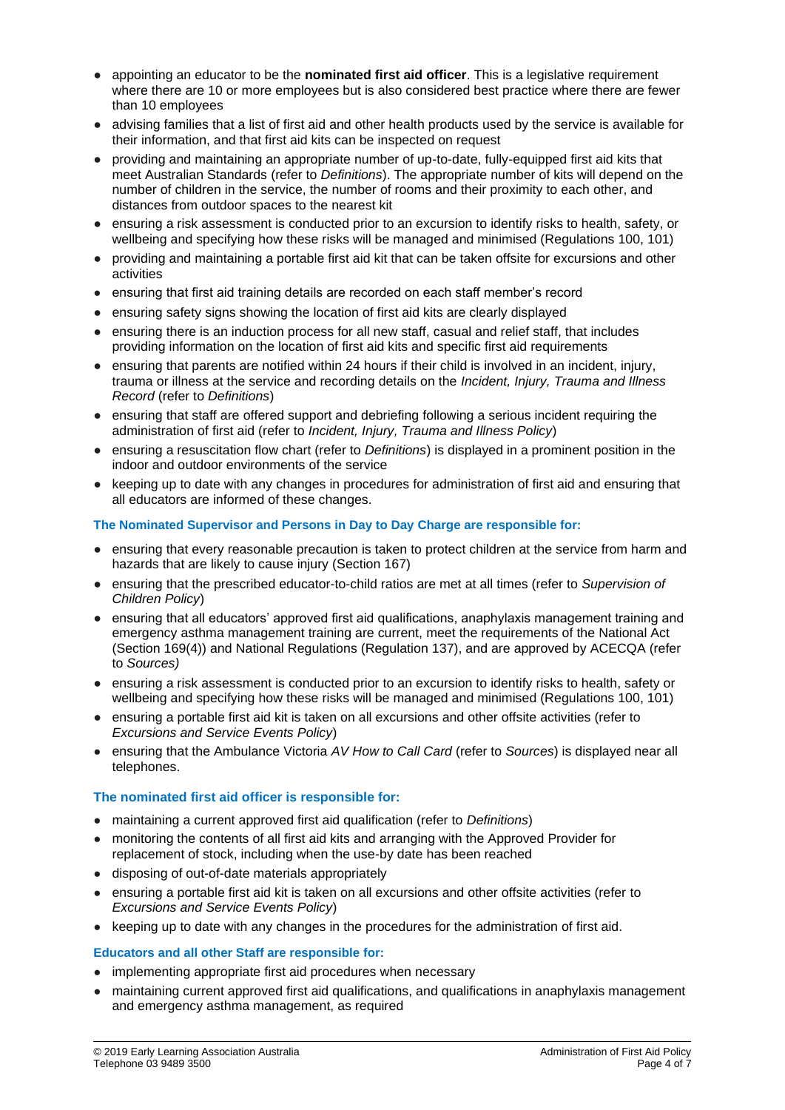- appointing an educator to be the **nominated first aid officer**. This is a legislative requirement where there are 10 or more employees but is also considered best practice where there are fewer than 10 employees
- advising families that a list of first aid and other health products used by the service is available for their information, and that first aid kits can be inspected on request
- providing and maintaining an appropriate number of up-to-date, fully-equipped first aid kits that meet Australian Standards (refer to *Definitions*). The appropriate number of kits will depend on the number of children in the service, the number of rooms and their proximity to each other, and distances from outdoor spaces to the nearest kit
- ensuring a risk assessment is conducted prior to an excursion to identify risks to health, safety, or wellbeing and specifying how these risks will be managed and minimised (Regulations 100, 101)
- providing and maintaining a portable first aid kit that can be taken offsite for excursions and other activities
- ensuring that first aid training details are recorded on each staff member's record
- ensuring safety signs showing the location of first aid kits are clearly displayed
- ensuring there is an induction process for all new staff, casual and relief staff, that includes providing information on the location of first aid kits and specific first aid requirements
- ensuring that parents are notified within 24 hours if their child is involved in an incident, injury, trauma or illness at the service and recording details on the *Incident, Injury, Trauma and Illness Record* (refer to *Definitions*)
- ensuring that staff are offered support and debriefing following a serious incident requiring the administration of first aid (refer to *Incident, Injury, Trauma and Illness Policy*)
- ensuring a resuscitation flow chart (refer to *Definitions*) is displayed in a prominent position in the indoor and outdoor environments of the service
- keeping up to date with any changes in procedures for administration of first aid and ensuring that all educators are informed of these changes.

#### **The Nominated Supervisor and Persons in Day to Day Charge are responsible for:**

- ensuring that every reasonable precaution is taken to protect children at the service from harm and hazards that are likely to cause injury (Section 167)
- ensuring that the prescribed educator-to-child ratios are met at all times (refer to *Supervision of Children Policy*)
- ensuring that all educators' approved first aid qualifications, anaphylaxis management training and emergency asthma management training are current, meet the requirements of the National Act (Section 169(4)) and National Regulations (Regulation 137), and are approved by ACECQA (refer to *Sources)*
- ensuring a risk assessment is conducted prior to an excursion to identify risks to health, safety or wellbeing and specifying how these risks will be managed and minimised (Regulations 100, 101)
- ensuring a portable first aid kit is taken on all excursions and other offsite activities (refer to *Excursions and Service Events Policy*)
- ensuring that the Ambulance Victoria *AV How to Call Card* (refer to *Sources*) is displayed near all telephones.

#### **The nominated first aid officer is responsible for:**

- maintaining a current approved first aid qualification (refer to *Definitions*)
- monitoring the contents of all first aid kits and arranging with the Approved Provider for replacement of stock, including when the use-by date has been reached
- disposing of out-of-date materials appropriately
- ensuring a portable first aid kit is taken on all excursions and other offsite activities (refer to *Excursions and Service Events Policy*)
- keeping up to date with any changes in the procedures for the administration of first aid.

#### **Educators and all other Staff are responsible for:**

- implementing appropriate first aid procedures when necessary
- maintaining current approved first aid qualifications, and qualifications in anaphylaxis management and emergency asthma management, as required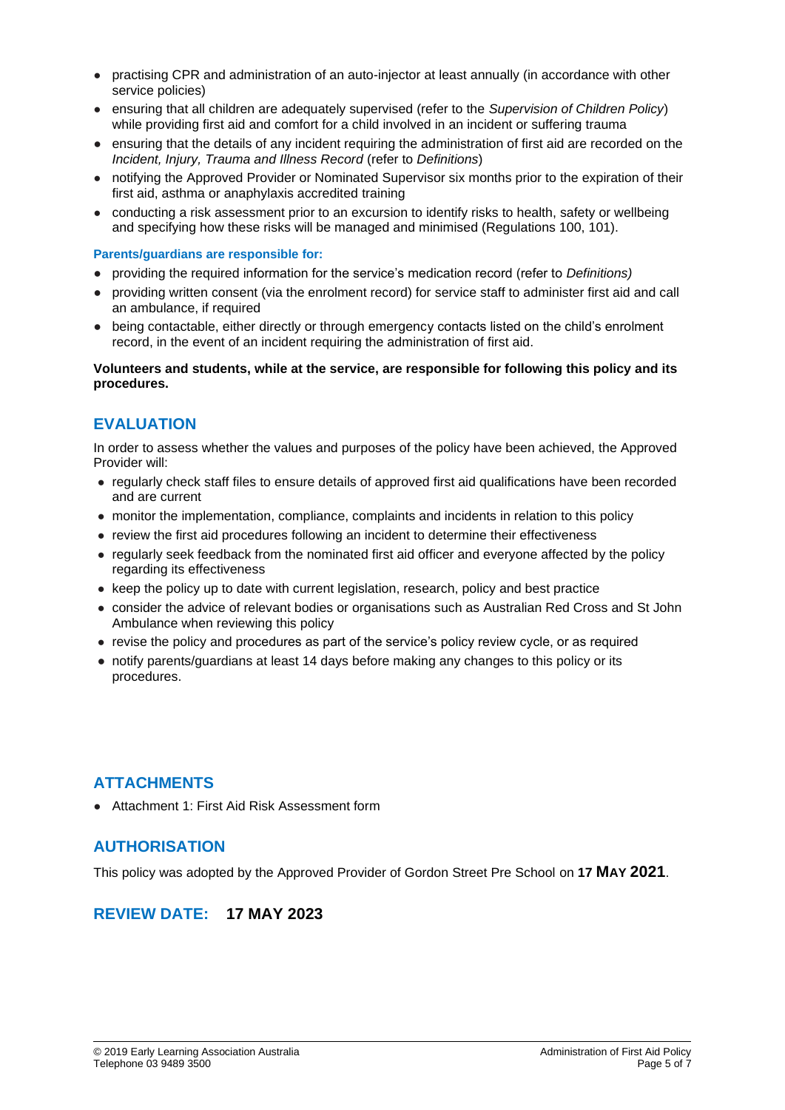- practising CPR and administration of an auto-injector at least annually (in accordance with other service policies)
- ensuring that all children are adequately supervised (refer to the *Supervision of Children Policy*) while providing first aid and comfort for a child involved in an incident or suffering trauma
- ensuring that the details of any incident requiring the administration of first aid are recorded on the *Incident, Injury, Trauma and Illness Record* (refer to *Definitions*)
- notifying the Approved Provider or Nominated Supervisor six months prior to the expiration of their first aid, asthma or anaphylaxis accredited training
- conducting a risk assessment prior to an excursion to identify risks to health, safety or wellbeing and specifying how these risks will be managed and minimised (Regulations 100, 101).

#### **Parents/guardians are responsible for:**

- providing the required information for the service's medication record (refer to *Definitions)*
- providing written consent (via the enrolment record) for service staff to administer first aid and call an ambulance, if required
- being contactable, either directly or through emergency contacts listed on the child's enrolment record, in the event of an incident requiring the administration of first aid.

#### **Volunteers and students, while at the service, are responsible for following this policy and its procedures.**

# **EVALUATION**

In order to assess whether the values and purposes of the policy have been achieved, the Approved Provider will:

- regularly check staff files to ensure details of approved first aid qualifications have been recorded and are current
- monitor the implementation, compliance, complaints and incidents in relation to this policy
- review the first aid procedures following an incident to determine their effectiveness
- regularly seek feedback from the nominated first aid officer and everyone affected by the policy regarding its effectiveness
- keep the policy up to date with current legislation, research, policy and best practice
- consider the advice of relevant bodies or organisations such as Australian Red Cross and St John Ambulance when reviewing this policy
- revise the policy and procedures as part of the service's policy review cycle, or as required
- notify parents/guardians at least 14 days before making any changes to this policy or its procedures.

# **ATTACHMENTS**

● Attachment 1: First Aid Risk Assessment form

# **AUTHORISATION**

This policy was adopted by the Approved Provider of Gordon Street Pre School on **17 MAY 2021**.

# **REVIEW DATE: 17 MAY 2023**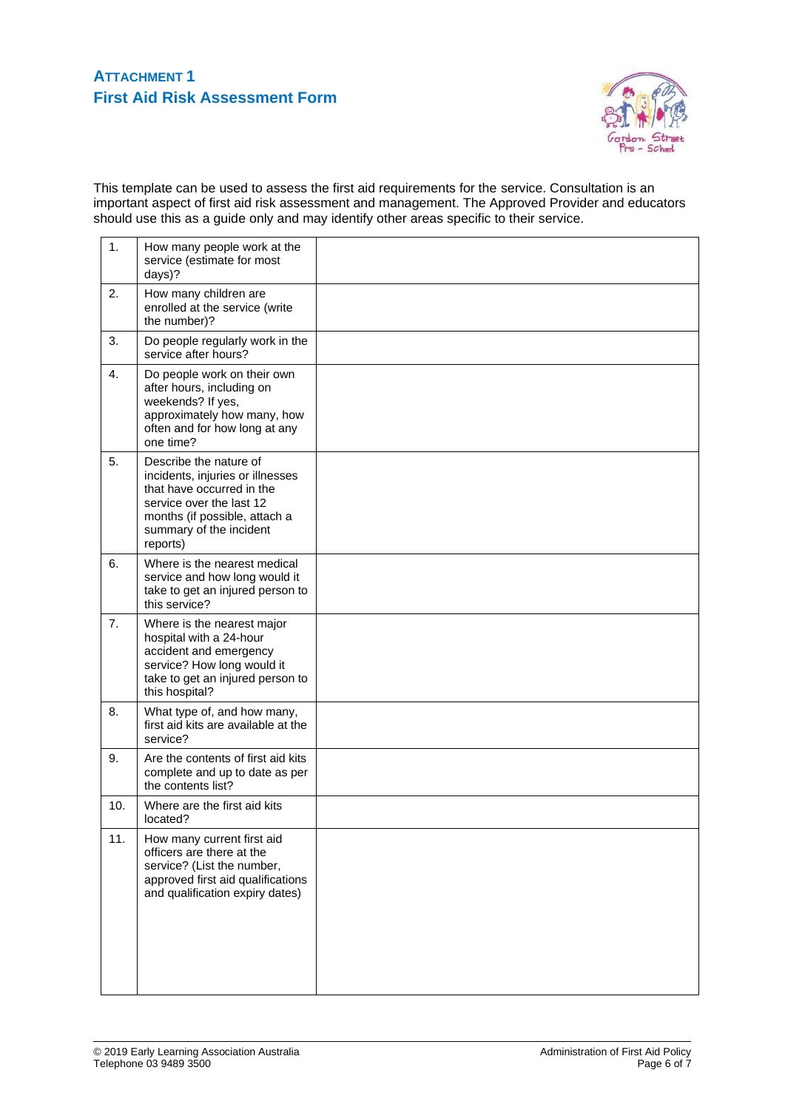# **ATTACHMENT 1 First Aid Risk Assessment Form**



This template can be used to assess the first aid requirements for the service. Consultation is an important aspect of first aid risk assessment and management. The Approved Provider and educators should use this as a guide only and may identify other areas specific to their service.

| 1.               | How many people work at the<br>service (estimate for most<br>days)?                                                                                                                         |  |
|------------------|---------------------------------------------------------------------------------------------------------------------------------------------------------------------------------------------|--|
| 2.               | How many children are<br>enrolled at the service (write<br>the number)?                                                                                                                     |  |
| 3.               | Do people regularly work in the<br>service after hours?                                                                                                                                     |  |
| $\overline{4}$ . | Do people work on their own<br>after hours, including on<br>weekends? If yes,<br>approximately how many, how<br>often and for how long at any<br>one time?                                  |  |
| 5.               | Describe the nature of<br>incidents, injuries or illnesses<br>that have occurred in the<br>service over the last 12<br>months (if possible, attach a<br>summary of the incident<br>reports) |  |
| 6.               | Where is the nearest medical<br>service and how long would it<br>take to get an injured person to<br>this service?                                                                          |  |
| 7 <sub>1</sub>   | Where is the nearest major<br>hospital with a 24-hour<br>accident and emergency<br>service? How long would it<br>take to get an injured person to<br>this hospital?                         |  |
| 8.               | What type of, and how many,<br>first aid kits are available at the<br>service?                                                                                                              |  |
| 9.               | Are the contents of first aid kits<br>complete and up to date as per<br>the contents list?                                                                                                  |  |
| 10.              | Where are the first aid kits<br>located?                                                                                                                                                    |  |
| 11.              | How many current first aid<br>officers are there at the<br>service? (List the number,<br>approved first aid qualifications<br>and qualification expiry dates)                               |  |